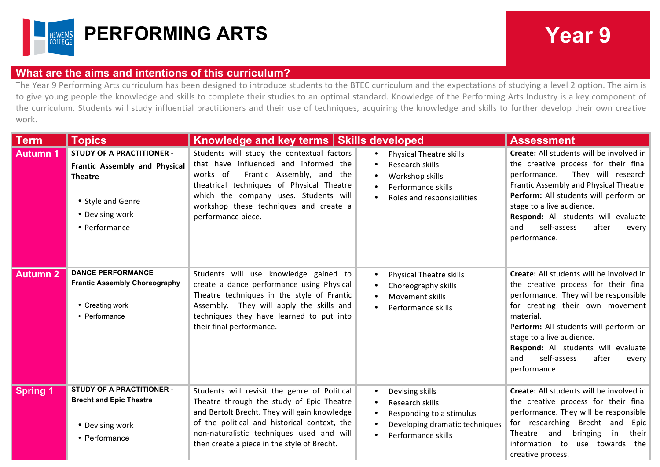

## **What are the aims and intentions of this curriculum?**

The Year 9 Performing Arts curriculum has been designed to introduce students to the BTEC curriculum and the expectations of studying a level 2 option. The aim is to give young people the knowledge and skills to complete their studies to an optimal standard. Knowledge of the Performing Arts Industry is a key component of the curriculum. Students will study influential practitioners and their use of techniques, acquiring the knowledge and skills to further develop their own creative work.

| <b>Term</b>         | <b>Topics</b>                                                                                                                                | Knowledge and key terms   Skills developed                                                                                                                                                                                                                                            |                                                                                                                                                               | <b>Assessment</b>                                                                                                                                                                                                                                                                                                                              |
|---------------------|----------------------------------------------------------------------------------------------------------------------------------------------|---------------------------------------------------------------------------------------------------------------------------------------------------------------------------------------------------------------------------------------------------------------------------------------|---------------------------------------------------------------------------------------------------------------------------------------------------------------|------------------------------------------------------------------------------------------------------------------------------------------------------------------------------------------------------------------------------------------------------------------------------------------------------------------------------------------------|
| <b>Autumn 1</b>     | <b>STUDY OF A PRACTITIONER -</b><br>Frantic Assembly and Physical<br><b>Theatre</b><br>• Style and Genre<br>• Devising work<br>• Performance | Students will study the contextual factors<br>that have influenced and informed the<br>Frantic Assembly, and<br>works of<br>the<br>theatrical techniques of Physical Theatre<br>which the company uses. Students will<br>workshop these techniques and create a<br>performance piece. | <b>Physical Theatre skills</b><br>Research skills<br>Workshop skills<br>$\bullet$<br>Performance skills<br>Roles and responsibilities                         | Create: All students will be involved in<br>the creative process for their final<br>performance.<br>They will research<br>Frantic Assembly and Physical Theatre.<br>Perform: All students will perform on<br>stage to a live audience.<br>Respond: All students will evaluate<br>self-assess<br>after<br>and<br>every<br>performance.          |
| Autumn <sub>2</sub> | <b>DANCE PERFORMANCE</b><br><b>Frantic Assembly Choreography</b><br>• Creating work<br>• Performance                                         | Students will use knowledge gained to<br>create a dance performance using Physical<br>Theatre techniques in the style of Frantic<br>Assembly. They will apply the skills and<br>techniques they have learned to put into<br>their final performance.                                  | <b>Physical Theatre skills</b><br>$\bullet$<br>Choreography skills<br>$\bullet$<br>Movement skills<br>Performance skills                                      | Create: All students will be involved in<br>the creative process for their final<br>performance. They will be responsible<br>for creating their own movement<br>material.<br>Perform: All students will perform on<br>stage to a live audience.<br>Respond: All students will evaluate<br>self-assess<br>after<br>and<br>every<br>performance. |
| <b>Spring 1</b>     | STUDY OF A PRACTITIONER -<br><b>Brecht and Epic Theatre</b><br>• Devising work<br>• Performance                                              | Students will revisit the genre of Political<br>Theatre through the study of Epic Theatre<br>and Bertolt Brecht. They will gain knowledge<br>of the political and historical context, the<br>non-naturalistic techniques used and will<br>then create a piece in the style of Brecht. | Devising skills<br>$\bullet$<br>Research skills<br>$\bullet$<br>Responding to a stimulus<br>$\bullet$<br>Developing dramatic techniques<br>Performance skills | Create: All students will be involved in<br>the creative process for their final<br>performance. They will be responsible<br>for researching Brecht and<br>Epic<br>and<br>bringing<br>Theatre<br>in<br>their<br>information to<br>use towards the<br>creative process.                                                                         |